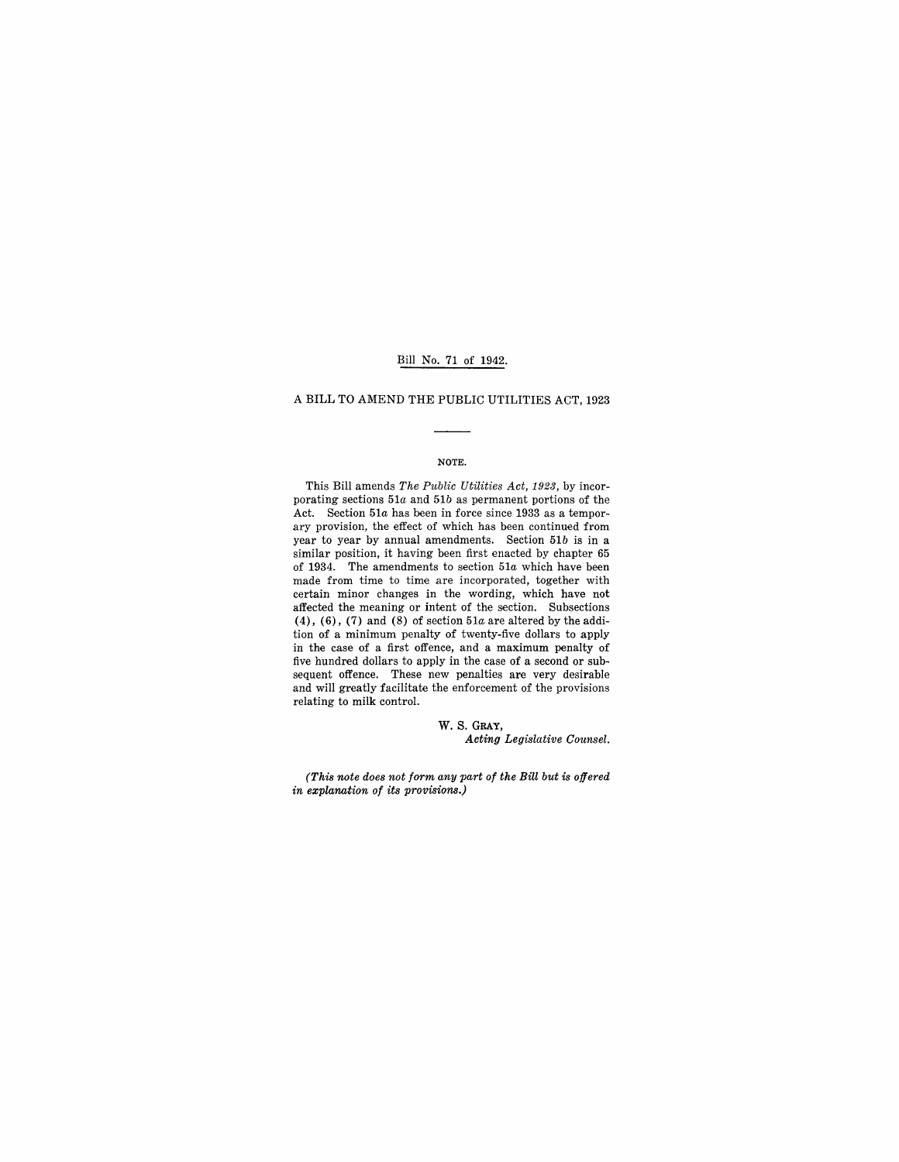## Bill No. 71 of 1942.

## A BILL TO AMEND THE PUBLIC UTILITIES ACT, 1923

### NOTE.

This Bill amends *The Public Utilities Act, 1923*, by incorporating sections *51a* and *51b* as permanent portions of the Act. Section *51a* has been in force since 1933 as a temporary provision, the effect of which has been continued from year to year by annual amendments. Section *51b* is in a similar position, it having been first enacted by chapter 65 of 1934. The amendments to section *51a* which have been made from time to time are incorporated, together with certain minor changes in the wording, which have not affected the meaning or intent of the section. Subsections (4), (6), (7) and (8) of section  $51a$  are altered by the addition of a minimum penalty of twenty-five dollars to apply in the case of a first offence, and a maximum penalty of five hundred dollars to apply in the case of a second or subsequent offence. These new penalties are very desirable and will greatly facilitate the enforcement of the provisions relating to milk control.

> W. S. GRAY, *Acting Legislative Counsel.*

*(This note does not form any part of the Bill but is offered in explanation of its provisions.)*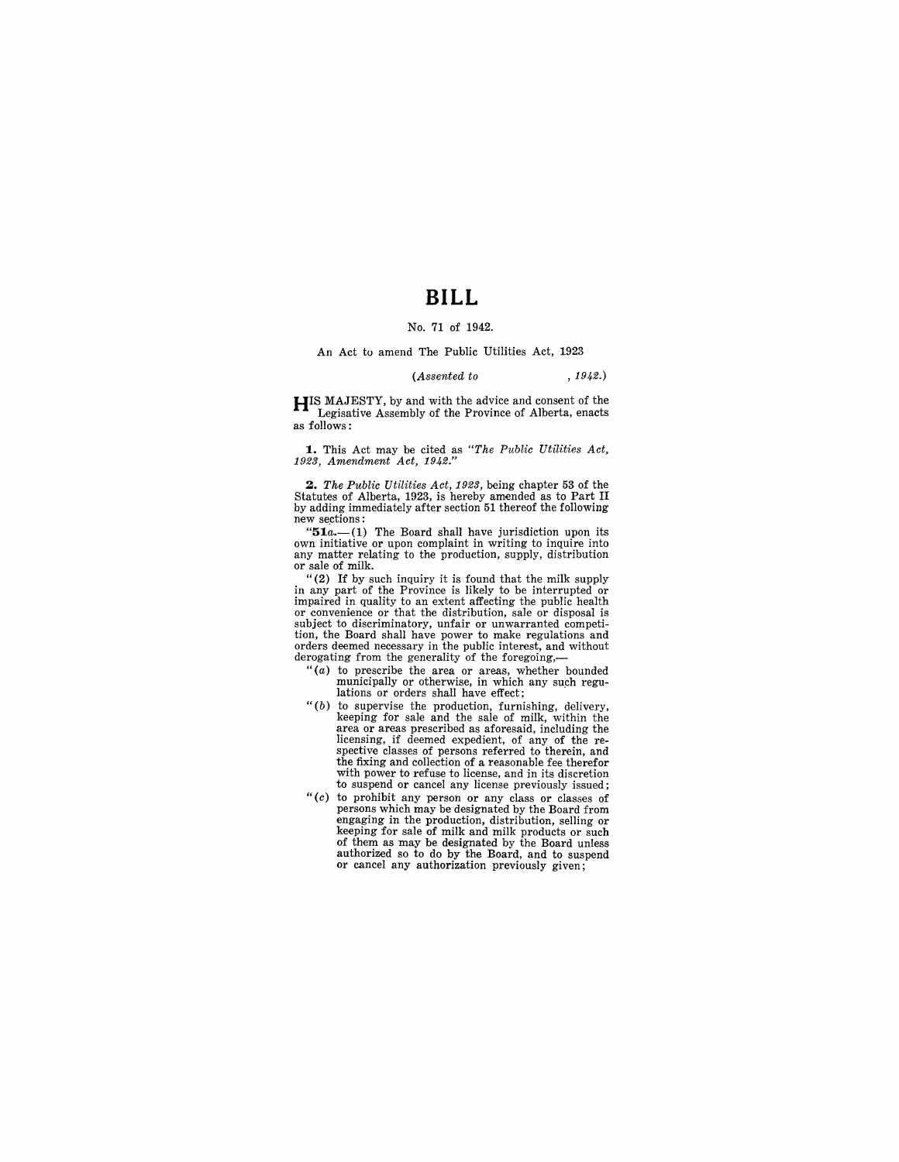# **BILL**

## No. 71 of 1942.

#### An Act to amend The Public Utilities Act, 1923

#### *(Assented to* , 1942.)

**HIS** MAJESTY, by and with the advice and consent of the Legisative Assembly of the Province of Alberta, enacts as follows:

**1.** This Act may be cited as *"The Public Utilities Act, 1923, Amendment Act, 1942."* 

*2. The Public Utilities Act,* 1923, being chapter 53 of the Statutes of Alberta, 1923, is hereby amended as to Part II by adding immediately after section 51 thereof the following new sections:<br>"51a.—(1) The Board shall have jurisdiction upon its

own initiative or upon complaint in writing to inquire into any matter relating to the production, supply, distribution or sale of milk.

"(2) If by such inquiry it is found that the milk supply in any part of the Province is likely to be interrupted or impaired in quality to an extent affecting the public health or convenience or that the distribution, sale or disposal is subject to discriminatory, unfair or unwarranted competition, the Board shall have power to make regulations and orders deemed necessary in the public interest, and without derogating from the generality of the foregoing,-

- " $(a)$  to prescribe the area or areas, whether bounded municipally or otherwise, in which any such regulations or orders shall have effect;
- *"(b)* to supervise the production, furnishing, delivery, area or areas prescribed as aforesaid, including the licensing, if deemed expedient, of any of the respective classes of persons referred to therein, and the fixing and collection of a reasonable fee therefor with power to refuse to license, and in its discretion to suspend or cancel any license previously issued;
- " $(c)$  to prohibit any person or any class or classes of persons which may be designated by the Board from engaging in the production, distribution, selling or<br>keeping for sale of milk and milk products or such<br>of them as may be designated by the Board unless<br>authorized so to do by the Board, and to suspend<br>or cancel any author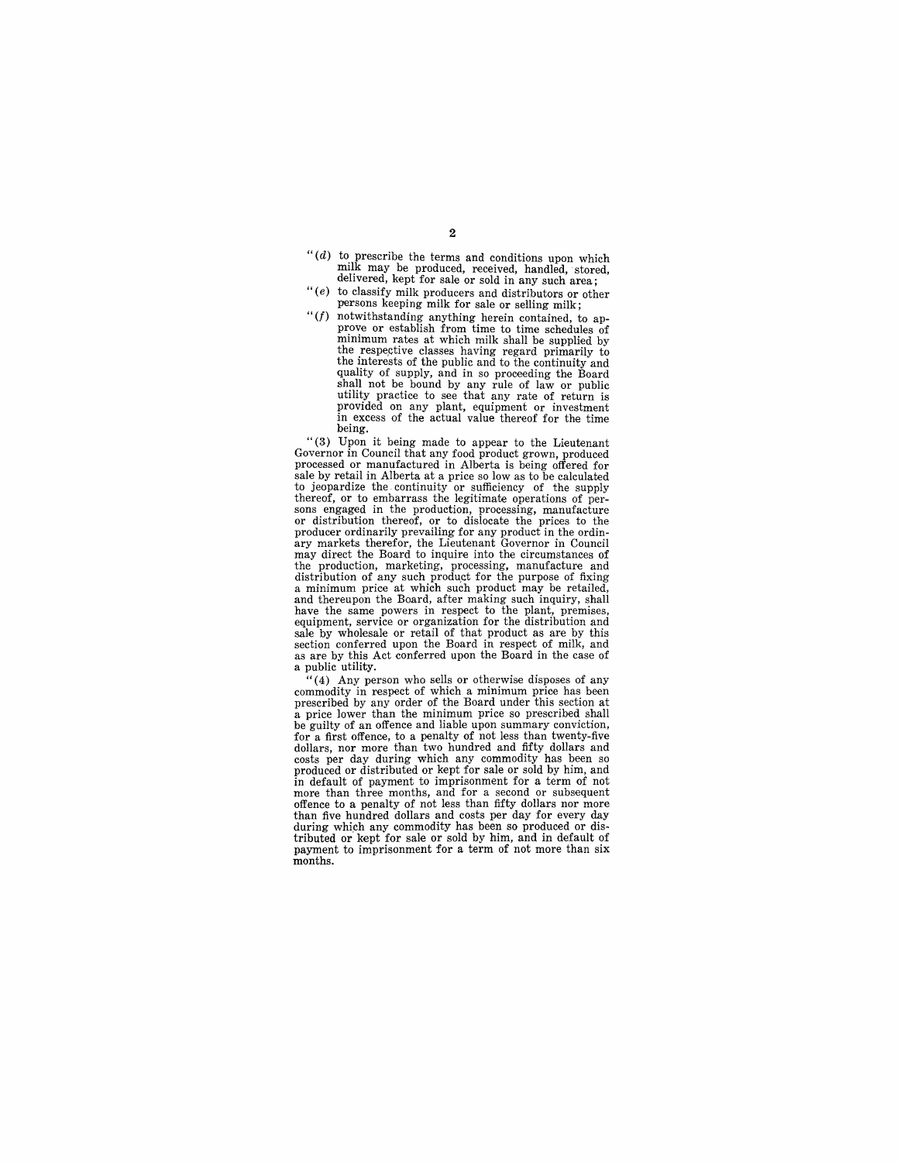- *"(d)* to. prescribe the terms and conditions upon which milk may be produced, received, handled, stored, delivered, kept for sale or sold in any such area;
- " (e) to classify milk producers and distributors or other persons keeping milk for sale or selling milk;
- *"(f)* notwithstanding anything herein contained, to approve or establish from time to time schedules of minimum rates at which milk shall be supplied by the respective classes having regard primarily to the interests of the public and to the continuity and quality of supply, and in so proceeding the Board shall not be bound by any rule of law or public utility practice to see that any rate of return is provided on any plant, equipment or investment in excess of the actual value thereof for the time being.

"(3) Upon it being made to appear to the Lieutenant Governor in Council that any food product grown, produced processed or manufactured in Alberta is being offered for sale by retail in Alberta at a price so low as to be calculated to jeopardize the continuity or sufficiency of the supply<br>thereof, or to embarrass the legitimate operations of per-<br>sons engaged in the production, processing, manufacture<br>or distribution thereof, or to dislocate the pric the production, marketing, processing, manufacture and<br>distribution of any such product for the purpose of fixing a minimum price at which such product may be retailed, and thereupon the Board, after making such inquiry, shall have the same powers in respect to the plant, premises, equipment, service or organization for the distribution and sale by wholesale or retail of that product as are by this section conferred upon the Board in respect of milk, and as are by this Act conferred upon the Board in the case of a public utility.

 $(4)$  Any person who sells or otherwise disposes of any commodity in respect of which a minimum price has been prescribed by any order of the Board under this section at a price lower than the minimum price so prescribed shall a price lower than the minimum price so prescribed shall be guilty of an offence and liable upon summary conviction, for a first offence, to a penalty of not less than twenty-five dollars, nor more than two hundred and fifty dollars and costs per day during which any commodity has been so produced or distributed or kept for sale or sold by him, and in default of payment to imprisonment for a term of not more than three months, and for a second or subsequent offence to a penalty of not less than fifty dollars nor more than five hundred dollars and costs per day for every day during which any commodity has been so produced or distributed or kept for sale or sold by him, and in default of payment to imprisonment for a term of not more than six months.

 $\mathbf{2}$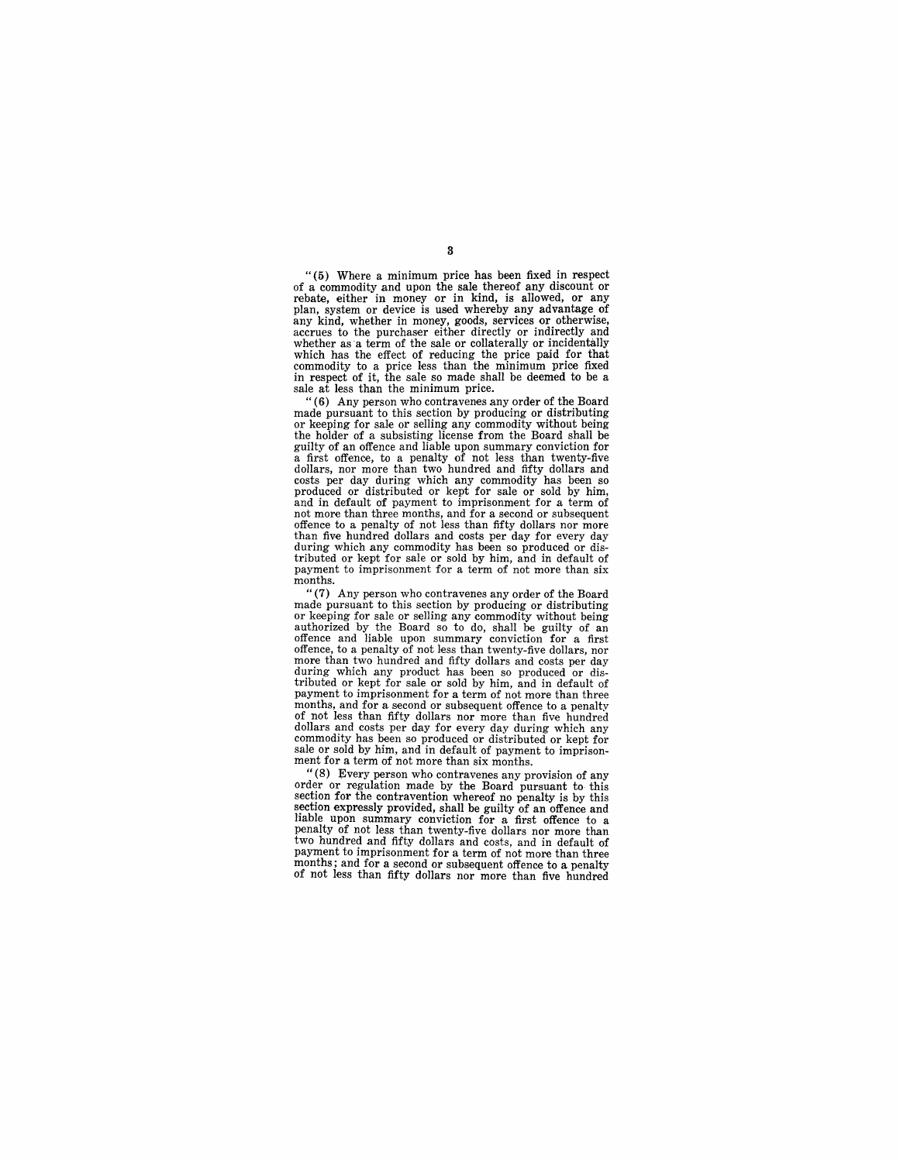" (5) Where a minimum price has been fixed in respect rebate, either in money or in kind, is allowed, or any plan, system or device is used whereby any advantage of any kind, whether in money, goods, services or otherwise, accrues to the purchaser either directly or indirectly and whether as a term of the sale or collaterally or incidentally which has the effect of reducing the price paid for that commodity to a price less than the minimum price fixed in respect of it, the sale so made shall be deemed to be a sale at less than the minimum price.

"(6) Any person who contravenes any order of the Board made pursuant to this section by producing or distributing or keeping for sale or selling any commodity without being of a subsisting license from the Board shall be the holder of a subsisting license from the Board shall be guilty of an offence and liable upon summary conviction for guilty of an offence and liable upon summary conviction for a first offence, to a penalty of not less than twenty-five dollars, nor more than two hundred and fifty dollars and costs per day during which any commodity has been so produced or distributed or kept for sale or sold by him, and in default of payment to imprisonment for a term of not more than three months, and for a second or subsequent offence to a penalty of not less than fifty dollars nor more than five hundred dollars and costs per day for every day during which any commodity has been so produced or distributed or kept for sale or sold by him, and in default of payment to imprisonment for a term of not more than six months.

"(7) Any person who contravenes any order of the Board or keeping for sale or selling any commodity without being authorized by the Board so to do, shall be guilty of an offence and liable upon summary conviction for a first offence, to a penalty of not less than twenty-five dollars, nor more than two hundred and fifty dollars and costs per day during which any product has been so produced or dis-tributed or kept for sale or sold by him, and in default of payment to imprisonment for a term of not more than three months, and for a second or subsequent offence to a penalty of not less than fifty dollars nor more than five hundred dollars and costs per day for every day during which any commodity has been so produced or distributed or kept for sale or sold by him, and in default of payment to imprisonment for a term of not more than six months.

"(8) Every person who contravenes any provision of any order or regulation made by the Board pursuant to this section for the contravention whereof no penalty is by this section expressly provided, shall be guilty of an offence and liable upon summary conviction for a first offence to a penalty of not less than twenty-five dollars nor more than two hundred and fifty dollars and costs, and in default of payment to imprisonment for a term of not more than three months; and for a second or subsequent offence to a penalty of not less than fifty dollars nor more than five hundred

3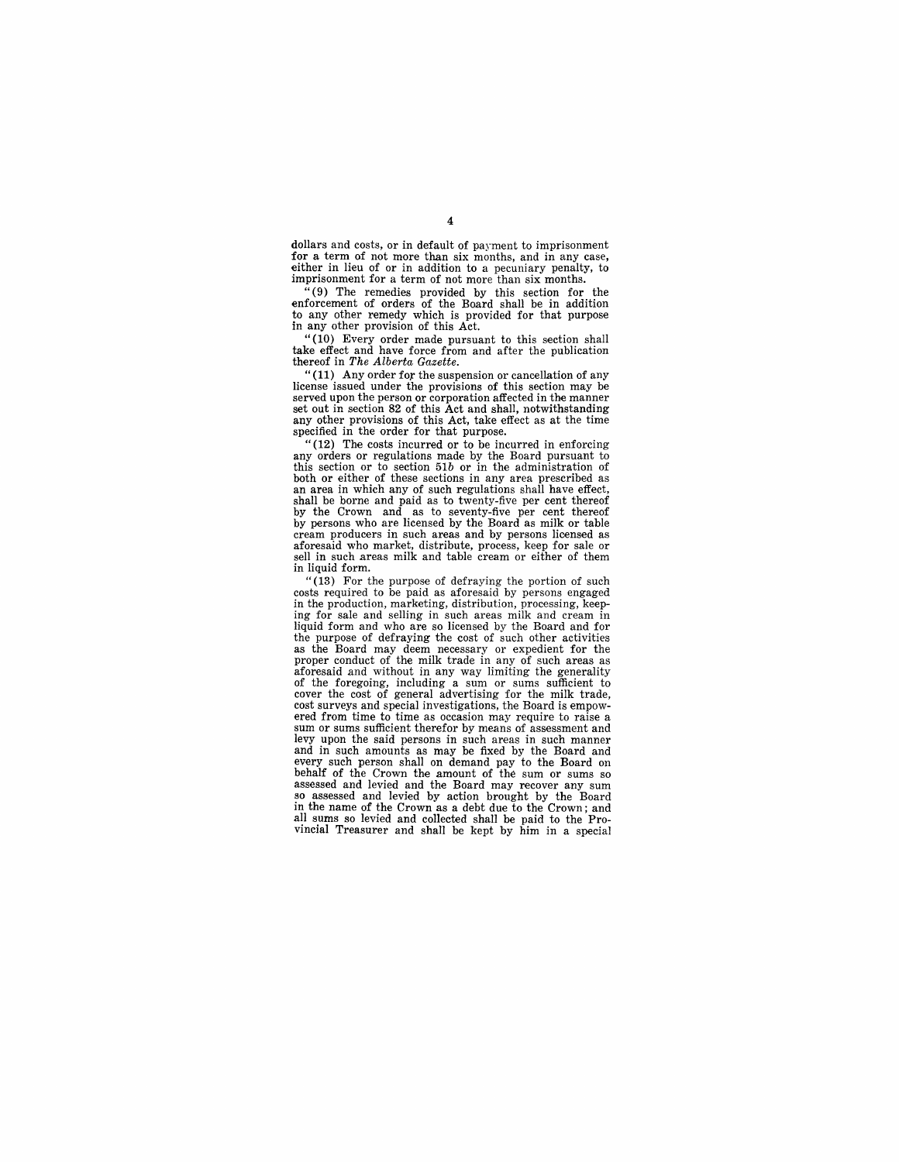dollars and costs, or in default of payment to imprisonment for a term of not more than six months, and in any case, either in lieu of or in addition to a pecuniary penalty, to imprisonment for a term of not more than six months.

"(9) The remedies provided by this section for the enforcement of orders of the Board shall be in addition to any other remedy which is provided for that purpose in any other provision of this Act.

"(10) Every order made pursuant to this section shall take effect and have force from and after the publication thereof in *The Alberta Gazette.* 

"(11) Any order for the suspension or cancellation of any license issued under the provisions of this section may be served upon the person or corporation affected in the manner set out in section 82 of this Act and shall, notwithstanding any other provisions of this Act, take effect as at the time specified in the order for that purpose.

"(12) The costs incurred or to be incurred in enforcing any orders or regulations made by the Board pursuant to this section or to section *51b* or in the administration of both or either of these sections in any area prescribed as an area in which any of such regulations shall have effect, shall be borne and paid as to twenty-five per cent thereof by the Crown and as to seventy-five per cent thereof by persons who are licensed by the Board as milk or table<br>cream producers in such areas and by persons licensed as<br>aforesaid who market, distribute, process, keep for sale or<br>sell in such areas milk and table cream or eith in liquid form.

" (13) For the purpose of defraying the portion of such costs required to be paid as aforesaid by persons engaged in the production, marketing, distribution, processing, keeping for sale and selling in such areas milk and cream in liquid form and who are so licensed by the Board and for the purpose of defraying the cost of such other activities the purpose of defraying the cost of such other activities as the Board may deem necessary or expedient for the proper conduct of the milk trade in any of such areas as aforesaid and without in any way limiting the generality of the foregoing, including a sum or sums sufficient to cover the cost of general advertising for the milk trade, cost surveys and special investigations, the Board is empow-<br>ered from time to time as occasion may require to raise a sum or sums sufficient therefor by means of assessment and levy upon the said persons in such areas in such manner and in such amounts as may be fixed by the Board and every such person shall on demand pay to the Board on behalf of the Crown the amount of the sum or sums so assessed and levied and the Board may recover any sum so assessed and levied by action brought by the Board in the name of the Crown as a debt due to the Crown; and all sums so levied and collected shall be paid to the Pro-vincial Treasurer and shall be kept by him in a special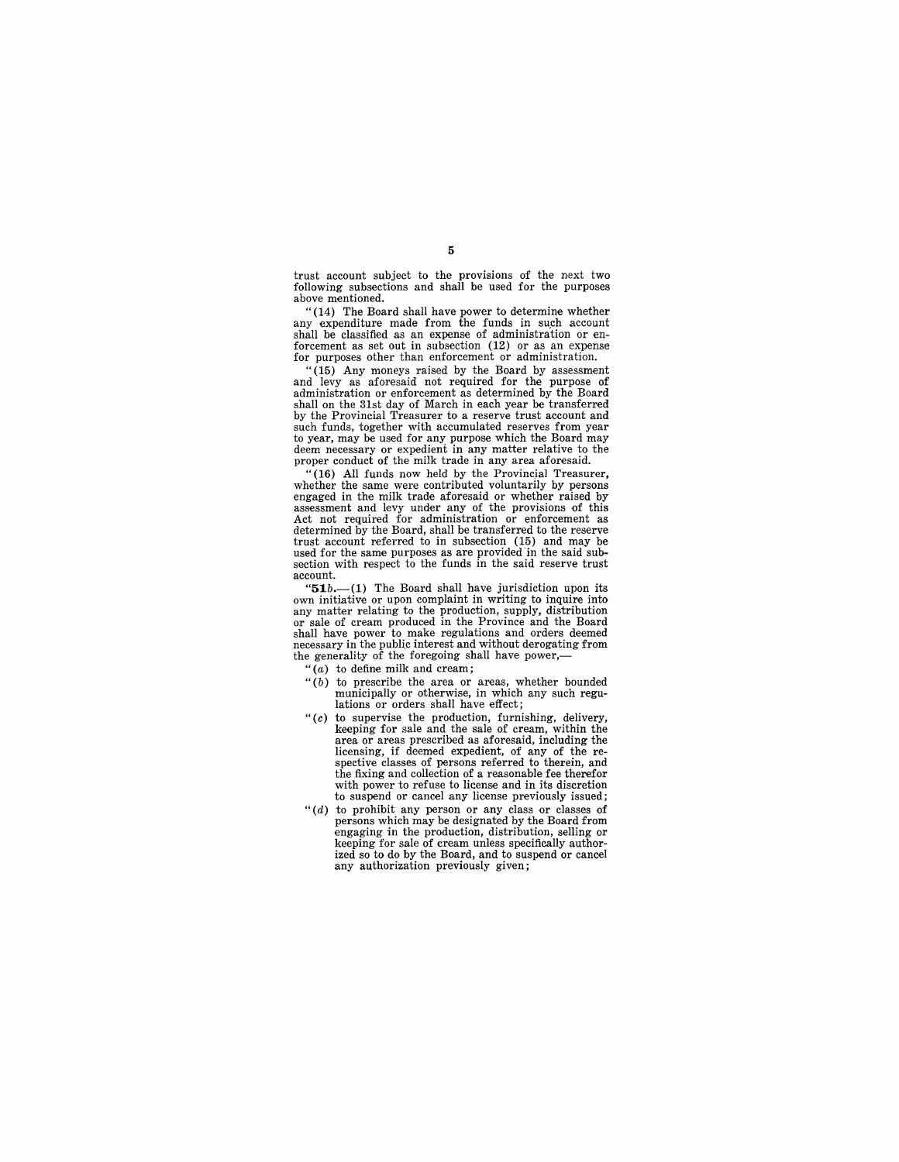trust account subject to the provisions of the next two following subsections and shall be used for the purposes above mentioned.

"(14) The Board shall have power to determine whether<br>any expenditure made from the funds in such account shall be classified as an expense of administration or en- forcement as set out in subsection (12) or as an expense for purposes other than enforcement or administration.

 $(15)$  Any moneys raised by the Board by assessment and levy as aforesaid not required for the purpose of administration or enforcement as determined by the Board shall on the 31st day of March in each year be transferred by the Provincial Treasurer to a reserve trust account and such funds, together with accumulated reserves from year to year, may be used for any purpose which the Board may deem necessary or expedient in any matter relative to the proper conduct of the milk trade in any area aforesaid.

 $(16)$  All funds now held by the Provincial Treasurer, whether the same were contributed voluntarily by persons engaged in the milk trade aforesaid or whether raised by assessment and levy under any of the provisions of this Act not required for administration or enforcement as determined by the Board, shall be transferred to the reserve used for the same purposes as are provided in the said subsection with respect to the funds in the said reserve trust  $\frac{1}{2}$ account.

" $51b$ .—(1) The Board shall have jurisdiction upon its own initiative or upon complaint in writing to inquire into any matter relating to the production, supply, distribution or sale of cream produced in the Province and the Board shall have power to make regulations and orders deemed necessary in the public interest and without derogating from the generality of the foregoing shall have power,-

 $``(a)$  to define milk and cream;

- *"(b)* to prescribe the area or areas, whether bounded municipally or otherwise, in which any such regulations or orders shall have effect;
- " $(c)$  to supervise the production, furnishing, delivery, keeping for sale and the sale of cream, within the area or areas prescribed as aforesaid, including the licensing, if deemed expedient, of any of the respective classes of persons referred to therein, and the fixing and collection of a reasonable fee therefor with power to refuse to license and in its discretion to suspend or cancel any license previously issued;
- *"(d)* to prohibit any person or any class or classes of persons which may be designated by the Board from engaging in the production, distribution, selling or keeping for sale of cream unless specifically authorized so to do by the Board, and to suspend or cancel any authorization previously given;

5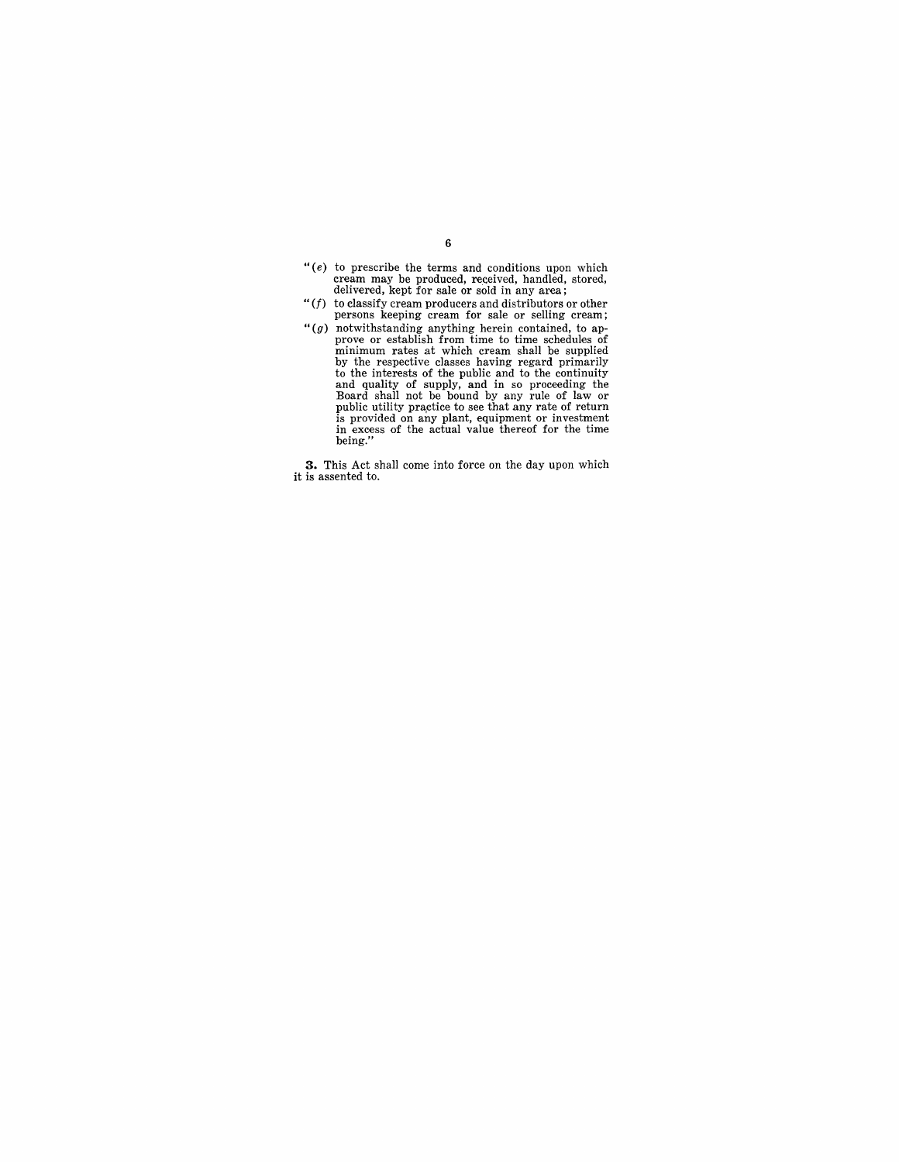- "(e) to prescribe the terms and conditions upon which cream may be produced, received, handled, stored, delivered, kept for sale or sold in any area;
- "(f) to classify cream producers and distributors or other<br>persons keeping cream for sale or selling cream; persons keeping cream for sale or selling cream;
- " $(g)$  notwithstanding anything herein contained, to approve or establish from time to time schedules of minimum rates at which cream shall be supplied by the respective classes having regard primarily to the interests of

**3.** This Act shall come into force on the day upon which it is assented to.

### 6